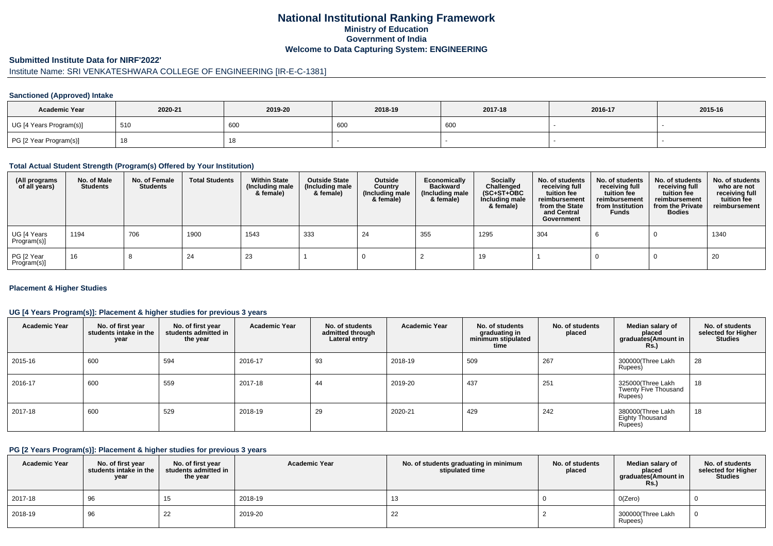## **National Institutional Ranking FrameworkMinistry of Education Government of IndiaWelcome to Data Capturing System: ENGINEERING**

#### **Submitted Institute Data for NIRF'2022'**

# Institute Name: SRI VENKATESHWARA COLLEGE OF ENGINEERING [IR-E-C-1381]

### **Sanctioned (Approved) Intake**

| <b>Academic Year</b>    | 2020-21 | 2019-20 | 2018-19 | 2017-18 | 2016-17 | 2015-16 |
|-------------------------|---------|---------|---------|---------|---------|---------|
| UG [4 Years Program(s)] | 510     | 600     | 600     | 600     |         |         |
| PG [2 Year Program(s)]  |         | 10      |         |         |         |         |

#### **Total Actual Student Strength (Program(s) Offered by Your Institution)**

| (All programs<br>of all years) | No. of Male<br><b>Students</b> | No. of Female<br>Students | <b>Total Students</b> | <b>Within State</b><br>(Including male<br>& female) | <b>Outside State</b><br>(Including male<br>& female) | Outside<br>Country<br>(Including male<br>& female) | Economically<br><b>Backward</b><br>(Including male<br>& female) | <b>Socially</b><br>Challenged<br>$(SC+ST+OBC)$<br>Including male<br>& female) | No. of students<br>receiving full<br>tuition fee<br>reimbursement<br>from the State<br>and Central<br>Government | No. of students<br>receiving full<br>tuition fee<br>reimbursement<br>from Institution<br><b>Funds</b> | No. of students<br>receiving full<br>tuition fee<br>reimbursement<br>from the Private<br><b>Bodies</b> | No. of students<br>who are not<br>receiving full<br>tuition fee<br>reimbursement |
|--------------------------------|--------------------------------|---------------------------|-----------------------|-----------------------------------------------------|------------------------------------------------------|----------------------------------------------------|-----------------------------------------------------------------|-------------------------------------------------------------------------------|------------------------------------------------------------------------------------------------------------------|-------------------------------------------------------------------------------------------------------|--------------------------------------------------------------------------------------------------------|----------------------------------------------------------------------------------|
| UG [4 Years<br>Program(s)]     | 1194                           | 706                       | 1900                  | 1543                                                | 333                                                  | 24                                                 | 355                                                             | 1295                                                                          | 304                                                                                                              |                                                                                                       |                                                                                                        | 1340                                                                             |
| PG [2 Year<br>Program(s)]      | 16                             |                           | 24                    | 23                                                  |                                                      |                                                    |                                                                 | 19                                                                            |                                                                                                                  |                                                                                                       |                                                                                                        | 20                                                                               |

### **Placement & Higher Studies**

### **UG [4 Years Program(s)]: Placement & higher studies for previous 3 years**

| <b>Academic Year</b> | No. of first year<br>students intake in the<br>year | No. of first year<br>students admitted in<br>the year | <b>Academic Year</b> | No. of students<br>admitted through<br>Lateral entry | <b>Academic Year</b> | No. of students<br>graduating in<br>minimum stipulated<br>time | No. of students<br>placed | Median salary of<br>placed<br>graduates(Amount in<br><b>Rs.</b> ) | No. of students<br>selected for Higher<br><b>Studies</b> |
|----------------------|-----------------------------------------------------|-------------------------------------------------------|----------------------|------------------------------------------------------|----------------------|----------------------------------------------------------------|---------------------------|-------------------------------------------------------------------|----------------------------------------------------------|
| 2015-16              | 600                                                 | 594                                                   | 2016-17              | 93                                                   | 2018-19              | 509                                                            | 267                       | 300000(Three Lakh<br>Rupees)                                      | 28                                                       |
| 2016-17              | 600                                                 | 559                                                   | 2017-18              | 44                                                   | 2019-20              | 437                                                            | 251                       | 325000(Three Lakh<br><b>Twenty Five Thousand</b><br>Rupees)       | 18                                                       |
| 2017-18              | 600                                                 | 529                                                   | 2018-19              | 29                                                   | 2020-21              | 429                                                            | 242                       | 380000(Three Lakh<br><b>Eighty Thousand</b><br>Rupees)            | 18                                                       |

#### **PG [2 Years Program(s)]: Placement & higher studies for previous 3 years**

| <b>Academic Year</b> | No. of first year<br>students intake in the<br>year | No. of first vear<br>students admitted in<br>the year | <b>Academic Year</b> | No. of students graduating in minimum<br>stipulated time | No. of students<br>placed | Median salary of<br>placed<br>graduates(Amount in<br><b>Rs.)</b> | No. of students<br>selected for Higher<br><b>Studies</b> |
|----------------------|-----------------------------------------------------|-------------------------------------------------------|----------------------|----------------------------------------------------------|---------------------------|------------------------------------------------------------------|----------------------------------------------------------|
| 2017-18              | 96                                                  |                                                       | 2018-19              | 13                                                       |                           | O(Zero)                                                          |                                                          |
| 2018-19              | 96                                                  | 22                                                    | 2019-20              | 22                                                       |                           | 300000(Three Lakh<br>Rupees)                                     |                                                          |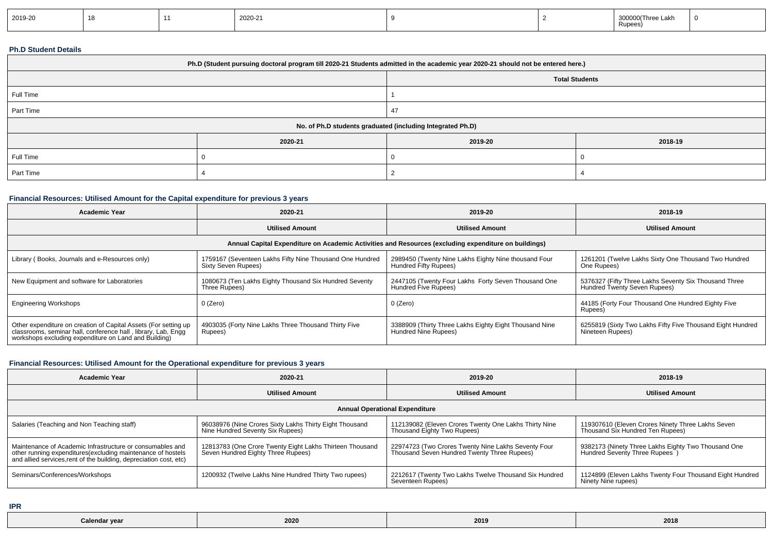| 2019-20 |  |  | 2020-21 |  |  | 300000(Three Lakh<br>Rupees | - 0 |
|---------|--|--|---------|--|--|-----------------------------|-----|
|---------|--|--|---------|--|--|-----------------------------|-----|

### **Ph.D Student Details**

| Ph.D (Student pursuing doctoral program till 2020-21 Students admitted in the academic year 2020-21 should not be entered here.) |                                                            |                       |         |  |  |  |  |
|----------------------------------------------------------------------------------------------------------------------------------|------------------------------------------------------------|-----------------------|---------|--|--|--|--|
|                                                                                                                                  |                                                            | <b>Total Students</b> |         |  |  |  |  |
| Full Time                                                                                                                        |                                                            |                       |         |  |  |  |  |
| Part Time                                                                                                                        |                                                            |                       |         |  |  |  |  |
|                                                                                                                                  | No. of Ph.D students graduated (including Integrated Ph.D) |                       |         |  |  |  |  |
|                                                                                                                                  | 2020-21                                                    | 2019-20               | 2018-19 |  |  |  |  |
| Full Time                                                                                                                        |                                                            |                       |         |  |  |  |  |
| Part Time                                                                                                                        |                                                            |                       |         |  |  |  |  |

## **Financial Resources: Utilised Amount for the Capital expenditure for previous 3 years**

| <b>Academic Year</b>                                                                                                                                                                      | 2020-21                                                                         | 2019-20                                                                                              | 2018-19                                                                               |
|-------------------------------------------------------------------------------------------------------------------------------------------------------------------------------------------|---------------------------------------------------------------------------------|------------------------------------------------------------------------------------------------------|---------------------------------------------------------------------------------------|
|                                                                                                                                                                                           | <b>Utilised Amount</b>                                                          | <b>Utilised Amount</b>                                                                               | <b>Utilised Amount</b>                                                                |
|                                                                                                                                                                                           |                                                                                 | Annual Capital Expenditure on Academic Activities and Resources (excluding expenditure on buildings) |                                                                                       |
| Library (Books, Journals and e-Resources only)                                                                                                                                            | 1759167 (Seventeen Lakhs Fifty Nine Thousand One Hundred<br>Sixty Seven Rupees) | 2989450 (Twenty Nine Lakhs Eighty Nine thousand Four<br>Hundred Fifty Rupees)                        | 1261201 (Twelve Lakhs Sixty One Thousand Two Hundred<br>One Rupees)                   |
| New Equipment and software for Laboratories                                                                                                                                               | 1080673 (Ten Lakhs Eighty Thousand Six Hundred Seventy<br>Three Rupees)         | 2447105 (Twenty Four Lakhs Forty Seven Thousand One<br>Hundred Five Rupees)                          | 5376327 (Fifty Three Lakhs Seventy Six Thousand Three<br>Hundred Twenty Seven Rupees) |
| <b>Engineering Workshops</b>                                                                                                                                                              | 0 (Zero)                                                                        | 0 (Zero)                                                                                             | 44185 (Forty Four Thousand One Hundred Eighty Five<br>Rupees)                         |
| Other expenditure on creation of Capital Assets (For setting up<br>classrooms, seminar hall, conference hall, library, Lab, Engg<br>workshops excluding expenditure on Land and Building) | 4903035 (Forty Nine Lakhs Three Thousand Thirty Five<br>Rupees)                 | 3388909 (Thirty Three Lakhs Eighty Eight Thousand Nine<br>Hundred Nine Rupees)                       | 6255819 (Sixty Two Lakhs Fifty Five Thousand Eight Hundred<br>Nineteen Rupees)        |

## **Financial Resources: Utilised Amount for the Operational expenditure for previous 3 years**

| <b>Academic Year</b>                                                                                                                                                                            | 2020-21                                                                                        | 2019-20                                                                                            | 2018-19                                                                               |  |  |  |  |
|-------------------------------------------------------------------------------------------------------------------------------------------------------------------------------------------------|------------------------------------------------------------------------------------------------|----------------------------------------------------------------------------------------------------|---------------------------------------------------------------------------------------|--|--|--|--|
|                                                                                                                                                                                                 | <b>Utilised Amount</b>                                                                         | <b>Utilised Amount</b>                                                                             | <b>Utilised Amount</b>                                                                |  |  |  |  |
| <b>Annual Operational Expenditure</b>                                                                                                                                                           |                                                                                                |                                                                                                    |                                                                                       |  |  |  |  |
| Salaries (Teaching and Non Teaching staff)                                                                                                                                                      | 96038976 (Nine Crores Sixty Lakhs Thirty Eight Thousand<br>Nine Hundred Seventy Six Rupees)    | 112139082 (Eleven Crores Twenty One Lakhs Thirty Nine<br>Thousand Eighty Two Rupees)               | 119307610 (Eleven Crores Ninety Three Lakhs Seven<br>Thousand Six Hundred Ten Rupees) |  |  |  |  |
| Maintenance of Academic Infrastructure or consumables and<br>other running expenditures (excluding maintenance of hostels<br>and allied services, rent of the building, depreciation cost, etc) | 12813783 (One Crore Twenty Eight Lakhs Thirteen Thousand<br>Seven Hundred Eighty Three Rupees) | 22974723 (Two Crores Twenty Nine Lakhs Seventy Four<br>Thousand Seven Hundred Twenty Three Rupees) | 9382173 (Ninety Three Lakhs Eighty Two Thousand One<br>Hundred Seventy Three Rupees   |  |  |  |  |
| Seminars/Conferences/Workshops                                                                                                                                                                  | 1200932 (Twelve Lakhs Nine Hundred Thirty Two rupees)                                          | 2212617 (Twenty Two Lakhs Twelve Thousand Six Hundred<br>Seventeen Rupees)                         | 1124899 (Eleven Lakhs Twenty Four Thousand Eight Hundred<br>Ninety Nine rupees)       |  |  |  |  |

**IPR**

| Calendar vear | 202 | 2019 | 2018 |
|---------------|-----|------|------|
|---------------|-----|------|------|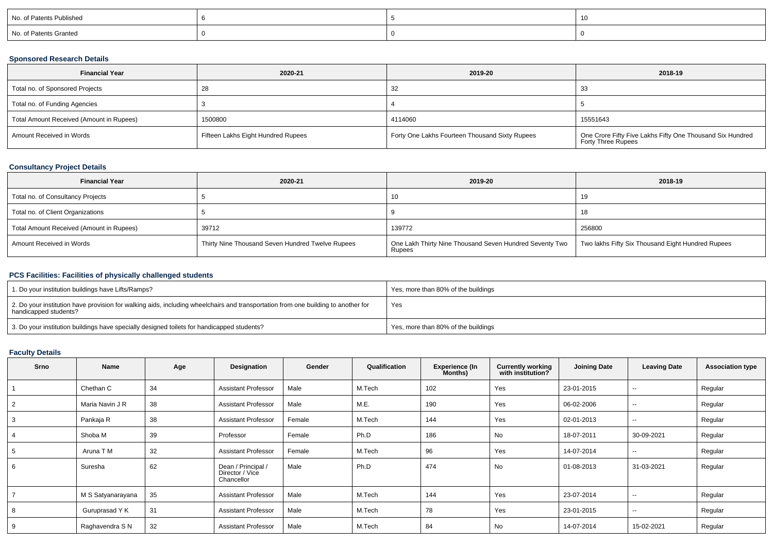| No. of Patents Published |  |  |
|--------------------------|--|--|
| No. of Patents Granted   |  |  |

### **Sponsored Research Details**

| <b>Financial Year</b>                    | 2020-21                            | 2019-20                                        | 2018-19                                                                         |
|------------------------------------------|------------------------------------|------------------------------------------------|---------------------------------------------------------------------------------|
| Total no. of Sponsored Projects          | -28                                | 32                                             | 33                                                                              |
| Total no. of Funding Agencies            |                                    |                                                |                                                                                 |
| Total Amount Received (Amount in Rupees) | 1500800                            | 4114060                                        | 15551643                                                                        |
| Amount Received in Words                 | Fifteen Lakhs Eight Hundred Rupees | Forty One Lakhs Fourteen Thousand Sixty Rupees | One Crore Fifty Five Lakhs Fifty One Thousand Six Hundred<br>Forty Three Rupees |

## **Consultancy Project Details**

| <b>Financial Year</b>                    | 2020-21                                          | 2019-20                                                           | 2018-19                                           |
|------------------------------------------|--------------------------------------------------|-------------------------------------------------------------------|---------------------------------------------------|
| Total no. of Consultancy Projects        |                                                  | ΊU                                                                | 19                                                |
| Total no. of Client Organizations        |                                                  |                                                                   | 18                                                |
| Total Amount Received (Amount in Rupees) | 39712                                            | 139772                                                            | 256800                                            |
| Amount Received in Words                 | Thirty Nine Thousand Seven Hundred Twelve Rupees | One Lakh Thirty Nine Thousand Seven Hundred Seventy Two<br>Rupees | Two lakhs Fifty Six Thousand Eight Hundred Rupees |

### **PCS Facilities: Facilities of physically challenged students**

| 1. Do your institution buildings have Lifts/Ramps?                                                                                                         | Yes, more than 80% of the buildings |
|------------------------------------------------------------------------------------------------------------------------------------------------------------|-------------------------------------|
| 2. Do your institution have provision for walking aids, including wheelchairs and transportation from one building to another for<br>handicapped students? | Yes                                 |
| 3. Do your institution buildings have specially designed toilets for handicapped students?                                                                 | Yes, more than 80% of the buildings |

# **Faculty Details**

| <b>Srno</b> | Name              | Age | Designation                                         | Gender | Qualification | <b>Experience (In</b><br>Months) | <b>Currently working</b><br>with institution? | <b>Joining Date</b> | <b>Leaving Date</b>      | <b>Association type</b> |
|-------------|-------------------|-----|-----------------------------------------------------|--------|---------------|----------------------------------|-----------------------------------------------|---------------------|--------------------------|-------------------------|
|             | Chethan C         | 34  | <b>Assistant Professor</b>                          | Male   | M.Tech        | 102                              | Yes                                           | 23-01-2015          | --                       | Regular                 |
|             | Maria Navin J R   | 38  | <b>Assistant Professor</b>                          | Male   | M.E.          | 190                              | Yes                                           | 06-02-2006          | --                       | Regular                 |
|             | Pankaja R         | 38  | <b>Assistant Professor</b>                          | Female | M.Tech        | 144                              | Yes                                           | 02-01-2013          | $\overline{\phantom{a}}$ | Regular                 |
|             | Shoba M           | 39  | Professor                                           | Female | Ph.D          | 186                              | No                                            | 18-07-2011          | 30-09-2021               | Regular                 |
|             | Aruna T M         | 32  | <b>Assistant Professor</b>                          | Female | M.Tech        | 96                               | Yes                                           | 14-07-2014          | $\sim$                   | Regular                 |
| 6           | Suresha           | 62  | Dean / Principal /<br>Director / Vice<br>Chancellor | Male   | Ph.D          | 474                              | No                                            | 01-08-2013          | 31-03-2021               | Regular                 |
|             | M S Satyanarayana | 35  | <b>Assistant Professor</b>                          | Male   | M.Tech        | 144                              | Yes                                           | 23-07-2014          | $\sim$                   | Regular                 |
|             | Guruprasad Y K    | 31  | <b>Assistant Professor</b>                          | Male   | M.Tech        | 78                               | Yes                                           | 23-01-2015          | $\sim$                   | Regular                 |
|             | Raghavendra S N   | 32  | <b>Assistant Professor</b>                          | Male   | M.Tech        | 84                               | No                                            | 14-07-2014          | 15-02-2021               | Regular                 |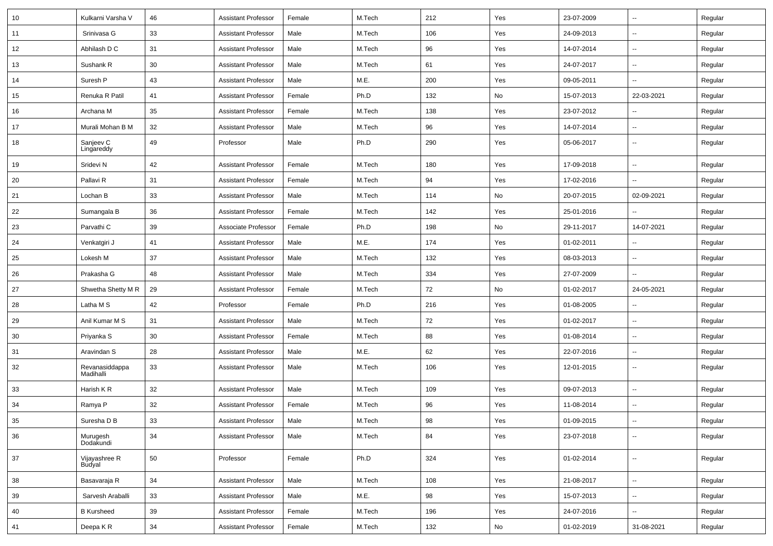| 10 | Kulkarni Varsha V           | 46     | <b>Assistant Professor</b> | Female | M.Tech | 212    | Yes        | 23-07-2009 | $\sim$                   | Regular |
|----|-----------------------------|--------|----------------------------|--------|--------|--------|------------|------------|--------------------------|---------|
| 11 | Srinivasa G                 | 33     | <b>Assistant Professor</b> | Male   | M.Tech | 106    | Yes        | 24-09-2013 | $\sim$                   | Regular |
| 12 | Abhilash D C                | 31     | <b>Assistant Professor</b> | Male   | M.Tech | 96     | Yes        | 14-07-2014 | $\sim$                   | Regular |
| 13 | Sushank R                   | 30     | <b>Assistant Professor</b> | Male   | M.Tech | 61     | Yes        | 24-07-2017 | Ξ.                       | Regular |
| 14 | Suresh P                    | 43     | <b>Assistant Professor</b> | Male   | M.E.   | 200    | Yes        | 09-05-2011 | $\overline{\phantom{a}}$ | Regular |
| 15 | Renuka R Patil              | 41     | <b>Assistant Professor</b> | Female | Ph.D   | 132    | No         | 15-07-2013 | 22-03-2021               | Regular |
| 16 | Archana M                   | 35     | <b>Assistant Professor</b> | Female | M.Tech | 138    | Yes        | 23-07-2012 | $\sim$                   | Regular |
| 17 | Murali Mohan B M            | 32     | <b>Assistant Professor</b> | Male   | M.Tech | 96     | Yes        | 14-07-2014 | $\sim$                   | Regular |
| 18 | Sanjeev C<br>Lingareddy     | 49     | Professor                  | Male   | Ph.D   | 290    | Yes        | 05-06-2017 | $\sim$                   | Regular |
| 19 | Sridevi N                   | 42     | <b>Assistant Professor</b> | Female | M.Tech | 180    | Yes        | 17-09-2018 | $\sim$                   | Regular |
| 20 | Pallavi R                   | 31     | <b>Assistant Professor</b> | Female | M.Tech | 94     | Yes        | 17-02-2016 |                          | Regular |
| 21 | Lochan B                    | 33     | <b>Assistant Professor</b> | Male   | M.Tech | 114    | No         | 20-07-2015 | 02-09-2021               | Regular |
| 22 | Sumangala B                 | 36     | <b>Assistant Professor</b> | Female | M.Tech | 142    | Yes        | 25-01-2016 |                          | Regular |
| 23 | Parvathi C                  | 39     | Associate Professor        | Female | Ph.D   | 198    | No         | 29-11-2017 | 14-07-2021               | Regular |
| 24 | Venkatgiri J                | 41     | <b>Assistant Professor</b> | Male   | M.E.   | 174    | Yes        | 01-02-2011 | $\sim$                   | Regular |
| 25 | Lokesh M                    | 37     | <b>Assistant Professor</b> | Male   | M.Tech | 132    | Yes        | 08-03-2013 | --                       | Regular |
| 26 | Prakasha G                  | 48     | <b>Assistant Professor</b> | Male   | M.Tech | 334    | Yes        | 27-07-2009 | $\overline{\phantom{a}}$ | Regular |
| 27 | Shwetha Shetty M R          | 29     | <b>Assistant Professor</b> | Female | M.Tech | 72     | No         | 01-02-2017 | 24-05-2021               | Regular |
| 28 | Latha M S                   | 42     | Professor                  | Female | Ph.D   | 216    | Yes        | 01-08-2005 |                          | Regular |
| 29 | Anil Kumar M S              | 31     | <b>Assistant Professor</b> | Male   | M.Tech | 72     | Yes        | 01-02-2017 | $\sim$                   | Regular |
| 30 | Priyanka S                  | 30     | <b>Assistant Professor</b> | Female | M.Tech | 88     | Yes        | 01-08-2014 | $\sim$                   | Regular |
| 31 | Aravindan S                 | 28     | <b>Assistant Professor</b> | Male   | M.E.   | 62     | Yes        | 22-07-2016 | $\sim$                   | Regular |
| 32 | Revanasiddappa<br>Madihalli | 33     | <b>Assistant Professor</b> | Male   | M.Tech | 106    | Yes        | 12-01-2015 | $\sim$                   | Regular |
| 33 | Harish K R                  | 32     | <b>Assistant Professor</b> | Male   | M.Tech | 109    | Yes        | 09-07-2013 | $\sim$                   | Regular |
| 34 | Ramya P                     | 32     | <b>Assistant Professor</b> | Female | M.Tech | 96     | Yes        | 11-08-2014 | $\sim$                   | Regular |
| 35 | Suresha D B                 | $33\,$ | Assistant Professor        | Male   | M.Tech | $98\,$ | Yes        | 01-09-2015 |                          | Regular |
| 36 | Murugesh<br>Dodakundi       | 34     | <b>Assistant Professor</b> | Male   | M.Tech | 84     | Yes        | 23-07-2018 | $\overline{\phantom{a}}$ | Regular |
| 37 | Vijayashree R<br>Budyal     | 50     | Professor                  | Female | Ph.D   | 324    | Yes        | 01-02-2014 | ш.                       | Regular |
| 38 | Basavaraja R                | 34     | <b>Assistant Professor</b> | Male   | M.Tech | 108    | Yes        | 21-08-2017 | ω.                       | Regular |
| 39 | Sarvesh Araballi            | $33\,$ | <b>Assistant Professor</b> | Male   | M.E.   | 98     | Yes        | 15-07-2013 | $\overline{\phantom{a}}$ | Regular |
| 40 | <b>B</b> Kursheed           | 39     | Assistant Professor        | Female | M.Tech | 196    | Yes        | 24-07-2016 | $\sim$                   | Regular |
| 41 | Deepa KR                    | $34\,$ | Assistant Professor        | Female | M.Tech | 132    | ${\sf No}$ | 01-02-2019 | 31-08-2021               | Regular |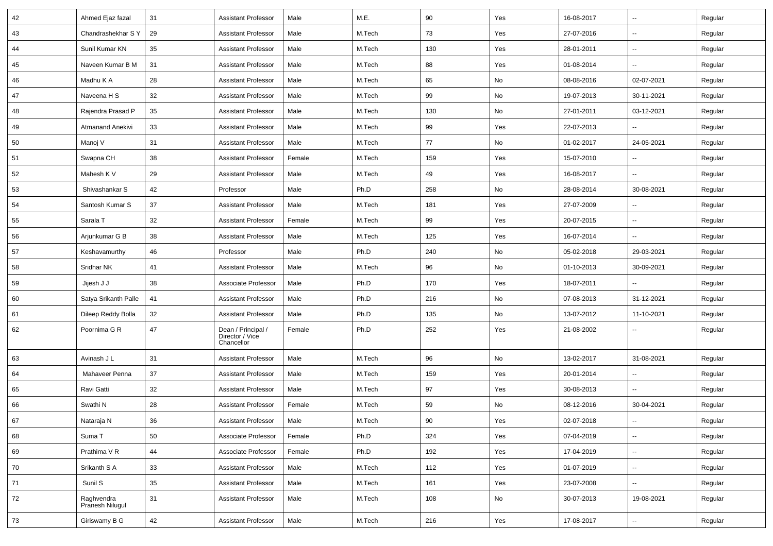| 42 | Ahmed Ejaz fazal              | 31 | <b>Assistant Professor</b>                          | Male   | M.E.   | 90  | Yes | 16-08-2017 | $\overline{\phantom{a}}$ | Regular |
|----|-------------------------------|----|-----------------------------------------------------|--------|--------|-----|-----|------------|--------------------------|---------|
| 43 | Chandrashekhar S Y            | 29 | <b>Assistant Professor</b>                          | Male   | M.Tech | 73  | Yes | 27-07-2016 | ⊶.                       | Regular |
| 44 | Sunil Kumar KN                | 35 | <b>Assistant Professor</b>                          | Male   | M.Tech | 130 | Yes | 28-01-2011 | $\sim$                   | Regular |
| 45 | Naveen Kumar B M              | 31 | <b>Assistant Professor</b>                          | Male   | M.Tech | 88  | Yes | 01-08-2014 | -−                       | Regular |
| 46 | Madhu K A                     | 28 | <b>Assistant Professor</b>                          | Male   | M.Tech | 65  | No  | 08-08-2016 | 02-07-2021               | Regular |
| 47 | Naveena H S                   | 32 | <b>Assistant Professor</b>                          | Male   | M.Tech | 99  | No  | 19-07-2013 | 30-11-2021               | Regular |
| 48 | Rajendra Prasad P             | 35 | <b>Assistant Professor</b>                          | Male   | M.Tech | 130 | No  | 27-01-2011 | 03-12-2021               | Regular |
| 49 | Atmanand Anekivi              | 33 | <b>Assistant Professor</b>                          | Male   | M.Tech | 99  | Yes | 22-07-2013 | --                       | Regular |
| 50 | Manoj V                       | 31 | <b>Assistant Professor</b>                          | Male   | M.Tech | 77  | No  | 01-02-2017 | 24-05-2021               | Regular |
| 51 | Swapna CH                     | 38 | <b>Assistant Professor</b>                          | Female | M.Tech | 159 | Yes | 15-07-2010 |                          | Regular |
| 52 | Mahesh K V                    | 29 | <b>Assistant Professor</b>                          | Male   | M.Tech | 49  | Yes | 16-08-2017 | -−                       | Regular |
| 53 | Shivashankar S                | 42 | Professor                                           | Male   | Ph.D   | 258 | No  | 28-08-2014 | 30-08-2021               | Regular |
| 54 | Santosh Kumar S               | 37 | <b>Assistant Professor</b>                          | Male   | M.Tech | 181 | Yes | 27-07-2009 |                          | Regular |
| 55 | Sarala T                      | 32 | <b>Assistant Professor</b>                          | Female | M.Tech | 99  | Yes | 20-07-2015 | ⊷.                       | Regular |
| 56 | Arjunkumar G B                | 38 | <b>Assistant Professor</b>                          | Male   | M.Tech | 125 | Yes | 16-07-2014 | ⊷.                       | Regular |
| 57 | Keshavamurthy                 | 46 | Professor                                           | Male   | Ph.D   | 240 | No  | 05-02-2018 | 29-03-2021               | Regular |
| 58 | Sridhar NK                    | 41 | <b>Assistant Professor</b>                          | Male   | M.Tech | 96  | No  | 01-10-2013 | 30-09-2021               | Regular |
| 59 | Jijesh J J                    | 38 | Associate Professor                                 | Male   | Ph.D   | 170 | Yes | 18-07-2011 |                          | Regular |
| 60 | Satya Srikanth Palle          | 41 | <b>Assistant Professor</b>                          | Male   | Ph.D   | 216 | No  | 07-08-2013 | 31-12-2021               | Regular |
| 61 | Dileep Reddy Bolla            | 32 | <b>Assistant Professor</b>                          | Male   | Ph.D   | 135 | No  | 13-07-2012 | 11-10-2021               | Regular |
| 62 | Poornima G R                  | 47 | Dean / Principal /<br>Director / Vice<br>Chancellor | Female | Ph.D   | 252 | Yes | 21-08-2002 | --                       | Regular |
| 63 | Avinash J L                   | 31 | <b>Assistant Professor</b>                          | Male   | M.Tech | 96  | No  | 13-02-2017 | 31-08-2021               | Regular |
| 64 | Mahaveer Penna                | 37 | <b>Assistant Professor</b>                          | Male   | M.Tech | 159 | Yes | 20-01-2014 | $\sim$                   | Regular |
| 65 | Ravi Gatti                    | 32 | <b>Assistant Professor</b>                          | Male   | M.Tech | 97  | Yes | 30-08-2013 |                          | Regular |
| 66 | Swathi N                      | 28 | <b>Assistant Professor</b>                          | Female | M.Tech | 59  | No  | 08-12-2016 | 30-04-2021               | Regular |
| 67 | Nataraja N                    | 36 | Assistant Professor                                 | Male   | M.Tech | 90  | Yes | 02-07-2018 |                          | Regular |
| 68 | Suma T                        | 50 | Associate Professor                                 | Female | Ph.D   | 324 | Yes | 07-04-2019 | $\overline{\phantom{a}}$ | Regular |
| 69 | Prathima V R                  | 44 | Associate Professor                                 | Female | Ph.D   | 192 | Yes | 17-04-2019 | $\overline{\phantom{a}}$ | Regular |
| 70 | Srikanth S A                  | 33 | <b>Assistant Professor</b>                          | Male   | M.Tech | 112 | Yes | 01-07-2019 | Щ,                       | Regular |
| 71 | Sunil S                       | 35 | <b>Assistant Professor</b>                          | Male   | M.Tech | 161 | Yes | 23-07-2008 | Щ,                       | Regular |
| 72 | Raghvendra<br>Pranesh Nilugul | 31 | <b>Assistant Professor</b>                          | Male   | M.Tech | 108 | No  | 30-07-2013 | 19-08-2021               | Regular |
| 73 | Giriswamy B G                 | 42 | <b>Assistant Professor</b>                          | Male   | M.Tech | 216 | Yes | 17-08-2017 | --                       | Regular |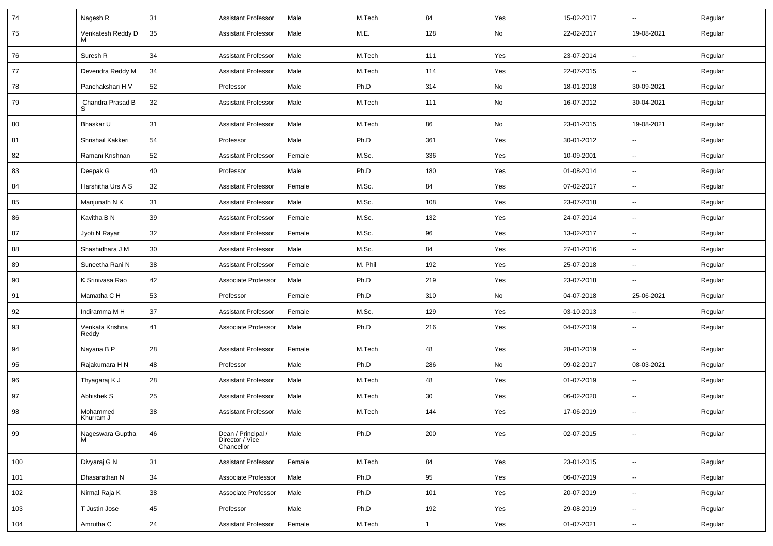| 74  | Nagesh R                 | 31 | Assistant Professor                                 | Male   | M.Tech  | 84           | Yes | 15-02-2017 | $\overline{\phantom{a}}$ | Regular |
|-----|--------------------------|----|-----------------------------------------------------|--------|---------|--------------|-----|------------|--------------------------|---------|
| 75  | Venkatesh Reddy D<br>м   | 35 | Assistant Professor                                 | Male   | M.E.    | 128          | No  | 22-02-2017 | 19-08-2021               | Regular |
| 76  | Suresh R                 | 34 | <b>Assistant Professor</b>                          | Male   | M.Tech  | 111          | Yes | 23-07-2014 | --                       | Regular |
| 77  | Devendra Reddy M         | 34 | <b>Assistant Professor</b>                          | Male   | M.Tech  | 114          | Yes | 22-07-2015 | $\overline{\phantom{a}}$ | Regular |
| 78  | Panchakshari H V         | 52 | Professor                                           | Male   | Ph.D    | 314          | No  | 18-01-2018 | 30-09-2021               | Regular |
| 79  | Chandra Prasad B<br>S    | 32 | <b>Assistant Professor</b>                          | Male   | M.Tech  | 111          | No  | 16-07-2012 | 30-04-2021               | Regular |
| 80  | Bhaskar U                | 31 | <b>Assistant Professor</b>                          | Male   | M.Tech  | 86           | No  | 23-01-2015 | 19-08-2021               | Regular |
| 81  | Shrishail Kakkeri        | 54 | Professor                                           | Male   | Ph.D    | 361          | Yes | 30-01-2012 | $\overline{\phantom{a}}$ | Regular |
| 82  | Ramani Krishnan          | 52 | Assistant Professor                                 | Female | M.Sc.   | 336          | Yes | 10-09-2001 | Ξ.                       | Regular |
| 83  | Deepak G                 | 40 | Professor                                           | Male   | Ph.D    | 180          | Yes | 01-08-2014 | --                       | Regular |
| 84  | Harshitha Urs A S        | 32 | <b>Assistant Professor</b>                          | Female | M.Sc.   | 84           | Yes | 07-02-2017 | $\overline{\phantom{a}}$ | Regular |
| 85  | Manjunath N K            | 31 | <b>Assistant Professor</b>                          | Male   | M.Sc.   | 108          | Yes | 23-07-2018 | $\overline{\phantom{a}}$ | Regular |
| 86  | Kavitha B N              | 39 | <b>Assistant Professor</b>                          | Female | M.Sc.   | 132          | Yes | 24-07-2014 | $\overline{\phantom{a}}$ | Regular |
| 87  | Jyoti N Rayar            | 32 | <b>Assistant Professor</b>                          | Female | M.Sc.   | 96           | Yes | 13-02-2017 | $\overline{\phantom{a}}$ | Regular |
| 88  | Shashidhara J M          | 30 | Assistant Professor                                 | Male   | M.Sc.   | 84           | Yes | 27-01-2016 | Ξ.                       | Regular |
| 89  | Suneetha Rani N          | 38 | Assistant Professor                                 | Female | M. Phil | 192          | Yes | 25-07-2018 | $\overline{\phantom{a}}$ | Regular |
| 90  | K Srinivasa Rao          | 42 | Associate Professor                                 | Male   | Ph.D    | 219          | Yes | 23-07-2018 | $\overline{\phantom{a}}$ | Regular |
| 91  | Mamatha C H              | 53 | Professor                                           | Female | Ph.D    | 310          | No  | 04-07-2018 | 25-06-2021               | Regular |
| 92  | Indiramma M H            | 37 | Assistant Professor                                 | Female | M.Sc.   | 129          | Yes | 03-10-2013 | $\overline{\phantom{a}}$ | Regular |
| 93  | Venkata Krishna<br>Reddy | 41 | Associate Professor                                 | Male   | Ph.D    | 216          | Yes | 04-07-2019 | $\overline{\phantom{a}}$ | Regular |
| 94  | Nayana B P               | 28 | <b>Assistant Professor</b>                          | Female | M.Tech  | 48           | Yes | 28-01-2019 | Ξ.                       | Regular |
| 95  | Rajakumara H N           | 48 | Professor                                           | Male   | Ph.D    | 286          | No  | 09-02-2017 | 08-03-2021               | Regular |
| 96  | Thyagaraj K J            | 28 | Assistant Professor                                 | Male   | M.Tech  | 48           | Yes | 01-07-2019 | --                       | Regular |
| 97  | Abhishek S               | 25 | <b>Assistant Professor</b>                          | Male   | M.Tech  | 30           | Yes | 06-02-2020 | $\overline{\phantom{a}}$ | Regular |
| 98  | Mohammed<br>Khurram J    | 38 | <b>Assistant Professor</b>                          | Male   | M.Tech  | 144          | Yes | 17-06-2019 | --                       | Regular |
| 99  | Nageswara Guptha<br>м    | 46 | Dean / Principal /<br>Director / Vice<br>Chancellor | Male   | Ph.D    | 200          | Yes | 02-07-2015 | $\overline{\phantom{a}}$ | Regular |
| 100 | Divyaraj G N             | 31 | Assistant Professor                                 | Female | M.Tech  | 84           | Yes | 23-01-2015 | Ξ.                       | Regular |
| 101 | Dhasarathan N            | 34 | Associate Professor                                 | Male   | Ph.D    | 95           | Yes | 06-07-2019 | Щ,                       | Regular |
| 102 | Nirmal Raja K            | 38 | Associate Professor                                 | Male   | Ph.D    | 101          | Yes | 20-07-2019 | $\overline{\phantom{a}}$ | Regular |
| 103 | T Justin Jose            | 45 | Professor                                           | Male   | Ph.D    | 192          | Yes | 29-08-2019 | $\overline{\phantom{a}}$ | Regular |
| 104 | Amrutha C                | 24 | <b>Assistant Professor</b>                          | Female | M.Tech  | $\mathbf{1}$ | Yes | 01-07-2021 | $\sim$                   | Regular |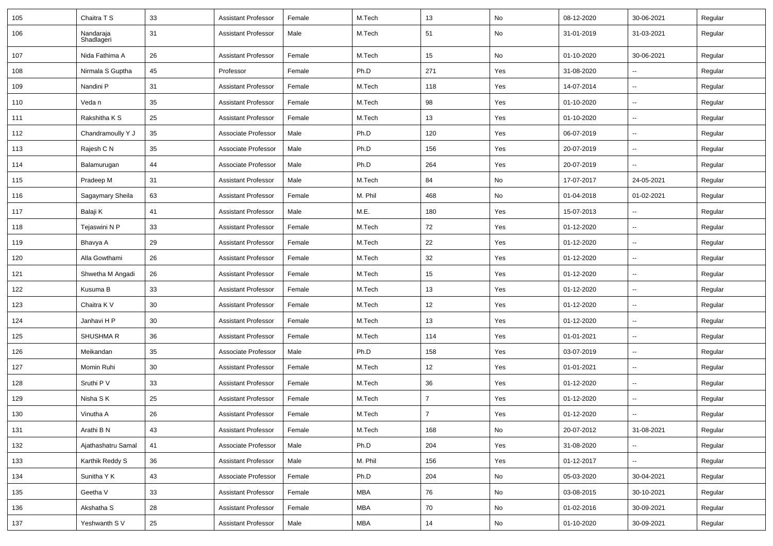| 105 | Chaitra T S             | 33 | <b>Assistant Professor</b> | Female | M.Tech     | 13             | No  | 08-12-2020 | 30-06-2021               | Regular |
|-----|-------------------------|----|----------------------------|--------|------------|----------------|-----|------------|--------------------------|---------|
| 106 | Nandaraja<br>Shadlageri | 31 | <b>Assistant Professor</b> | Male   | M.Tech     | 51             | No  | 31-01-2019 | 31-03-2021               | Regular |
| 107 | Nida Fathima A          | 26 | <b>Assistant Professor</b> | Female | M.Tech     | 15             | No  | 01-10-2020 | 30-06-2021               | Regular |
| 108 | Nirmala S Guptha        | 45 | Professor                  | Female | Ph.D       | 271            | Yes | 31-08-2020 | $\overline{\phantom{a}}$ | Regular |
| 109 | Nandini P               | 31 | <b>Assistant Professor</b> | Female | M.Tech     | 118            | Yes | 14-07-2014 | --                       | Regular |
| 110 | Veda n                  | 35 | <b>Assistant Professor</b> | Female | M.Tech     | 98             | Yes | 01-10-2020 | $\overline{\phantom{a}}$ | Regular |
| 111 | Rakshitha K S           | 25 | <b>Assistant Professor</b> | Female | M.Tech     | 13             | Yes | 01-10-2020 | Ξ.                       | Regular |
| 112 | Chandramoully Y J       | 35 | Associate Professor        | Male   | Ph.D       | 120            | Yes | 06-07-2019 | $\overline{\phantom{a}}$ | Regular |
| 113 | Rajesh C N              | 35 | Associate Professor        | Male   | Ph.D       | 156            | Yes | 20-07-2019 | $\overline{\phantom{a}}$ | Regular |
| 114 | Balamurugan             | 44 | Associate Professor        | Male   | Ph.D       | 264            | Yes | 20-07-2019 | $\overline{\phantom{a}}$ | Regular |
| 115 | Pradeep M               | 31 | <b>Assistant Professor</b> | Male   | M.Tech     | 84             | No  | 17-07-2017 | 24-05-2021               | Regular |
| 116 | Sagaymary Sheila        | 63 | <b>Assistant Professor</b> | Female | M. Phil    | 468            | No  | 01-04-2018 | 01-02-2021               | Regular |
| 117 | Balaji K                | 41 | <b>Assistant Professor</b> | Male   | M.E.       | 180            | Yes | 15-07-2013 | Ξ.                       | Regular |
| 118 | Tejaswini N P           | 33 | <b>Assistant Professor</b> | Female | M.Tech     | 72             | Yes | 01-12-2020 | $\overline{\phantom{a}}$ | Regular |
| 119 | Bhavya A                | 29 | <b>Assistant Professor</b> | Female | M.Tech     | 22             | Yes | 01-12-2020 | $\overline{\phantom{a}}$ | Regular |
| 120 | Alla Gowthami           | 26 | <b>Assistant Professor</b> | Female | M.Tech     | 32             | Yes | 01-12-2020 | $\overline{\phantom{a}}$ | Regular |
| 121 | Shwetha M Angadi        | 26 | <b>Assistant Professor</b> | Female | M.Tech     | 15             | Yes | 01-12-2020 | --                       | Regular |
| 122 | Kusuma B                | 33 | <b>Assistant Professor</b> | Female | M.Tech     | 13             | Yes | 01-12-2020 | $\overline{\phantom{a}}$ | Regular |
| 123 | Chaitra K V             | 30 | <b>Assistant Professor</b> | Female | M.Tech     | 12             | Yes | 01-12-2020 | Ξ.                       | Regular |
| 124 | Janhavi H P             | 30 | <b>Assistant Professor</b> | Female | M.Tech     | 13             | Yes | 01-12-2020 | $\overline{\phantom{a}}$ | Regular |
| 125 | <b>SHUSHMAR</b>         | 36 | <b>Assistant Professor</b> | Female | M.Tech     | 114            | Yes | 01-01-2021 | $\overline{\phantom{a}}$ | Regular |
| 126 | Meikandan               | 35 | Associate Professor        | Male   | Ph.D       | 158            | Yes | 03-07-2019 | Ξ.                       | Regular |
| 127 | Momin Ruhi              | 30 | <b>Assistant Professor</b> | Female | M.Tech     | 12             | Yes | 01-01-2021 | --                       | Regular |
| 128 | Sruthi P V              | 33 | <b>Assistant Professor</b> | Female | M.Tech     | 36             | Yes | 01-12-2020 | $\overline{\phantom{a}}$ | Regular |
| 129 | Nisha S K               | 25 | <b>Assistant Professor</b> | Female | M.Tech     | $\overline{7}$ | Yes | 01-12-2020 | Ξ.                       | Regular |
| 130 | Vinutha A               | 26 | <b>Assistant Professor</b> | Female | M.Tech     | 7              | Yes | 01-12-2020 | $\overline{\phantom{a}}$ | Regular |
| 131 | Arathi B N              | 43 | <b>Assistant Professor</b> | Female | M.Tech     | 168            | No  | 20-07-2012 | 31-08-2021               | Regular |
| 132 | Ajathashatru Samal      | 41 | Associate Professor        | Male   | Ph.D       | 204            | Yes | 31-08-2020 | Ц.                       | Regular |
| 133 | Karthik Reddy S         | 36 | <b>Assistant Professor</b> | Male   | M. Phil    | 156            | Yes | 01-12-2017 | ₩,                       | Regular |
| 134 | Sunitha Y K             | 43 | Associate Professor        | Female | Ph.D       | 204            | No  | 05-03-2020 | 30-04-2021               | Regular |
| 135 | Geetha V                | 33 | <b>Assistant Professor</b> | Female | <b>MBA</b> | 76             | No  | 03-08-2015 | 30-10-2021               | Regular |
| 136 | Akshatha S              | 28 | <b>Assistant Professor</b> | Female | MBA        | 70             | No  | 01-02-2016 | 30-09-2021               | Regular |
| 137 | Yeshwanth SV            | 25 | <b>Assistant Professor</b> | Male   | MBA        | 14             | No  | 01-10-2020 | 30-09-2021               | Regular |